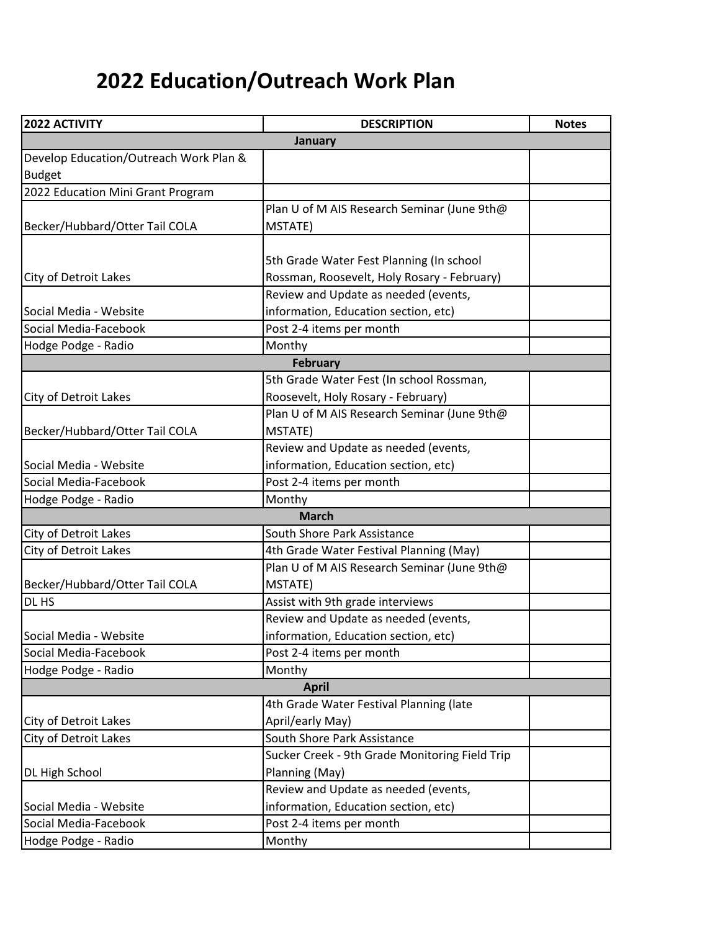## **2022 Education/Outreach Work Plan**

| 2022 ACTIVITY                          | <b>DESCRIPTION</b>                             | <b>Notes</b> |  |
|----------------------------------------|------------------------------------------------|--------------|--|
|                                        | <b>January</b>                                 |              |  |
| Develop Education/Outreach Work Plan & |                                                |              |  |
| <b>Budget</b>                          |                                                |              |  |
| 2022 Education Mini Grant Program      |                                                |              |  |
|                                        | Plan U of M AIS Research Seminar (June 9th@    |              |  |
| Becker/Hubbard/Otter Tail COLA         | MSTATE)                                        |              |  |
|                                        |                                                |              |  |
|                                        | 5th Grade Water Fest Planning (In school       |              |  |
| City of Detroit Lakes                  | Rossman, Roosevelt, Holy Rosary - February)    |              |  |
|                                        | Review and Update as needed (events,           |              |  |
| Social Media - Website                 | information, Education section, etc)           |              |  |
| Social Media-Facebook                  | Post 2-4 items per month                       |              |  |
| Hodge Podge - Radio                    | Monthy                                         |              |  |
|                                        | <b>February</b>                                |              |  |
|                                        | 5th Grade Water Fest (In school Rossman,       |              |  |
| City of Detroit Lakes                  | Roosevelt, Holy Rosary - February)             |              |  |
|                                        | Plan U of M AIS Research Seminar (June 9th@    |              |  |
| Becker/Hubbard/Otter Tail COLA         | MSTATE)                                        |              |  |
|                                        | Review and Update as needed (events,           |              |  |
| Social Media - Website                 | information, Education section, etc)           |              |  |
| Social Media-Facebook                  | Post 2-4 items per month                       |              |  |
| Hodge Podge - Radio                    | Monthy                                         |              |  |
| <b>March</b>                           |                                                |              |  |
| City of Detroit Lakes                  | South Shore Park Assistance                    |              |  |
| City of Detroit Lakes                  | 4th Grade Water Festival Planning (May)        |              |  |
|                                        | Plan U of M AIS Research Seminar (June 9th@    |              |  |
| Becker/Hubbard/Otter Tail COLA         | MSTATE)                                        |              |  |
| DL HS                                  | Assist with 9th grade interviews               |              |  |
|                                        | Review and Update as needed (events,           |              |  |
| Social Media - Website                 | information, Education section, etc)           |              |  |
| Social Media-Facebook                  | Post 2-4 items per month                       |              |  |
| Hodge Podge - Radio                    | Monthy                                         |              |  |
| <b>April</b>                           |                                                |              |  |
|                                        | 4th Grade Water Festival Planning (late        |              |  |
| City of Detroit Lakes                  | April/early May)                               |              |  |
| City of Detroit Lakes                  | South Shore Park Assistance                    |              |  |
|                                        | Sucker Creek - 9th Grade Monitoring Field Trip |              |  |
| DL High School                         | Planning (May)                                 |              |  |
|                                        | Review and Update as needed (events,           |              |  |
| Social Media - Website                 | information, Education section, etc)           |              |  |
| Social Media-Facebook                  | Post 2-4 items per month                       |              |  |
| Hodge Podge - Radio                    | Monthy                                         |              |  |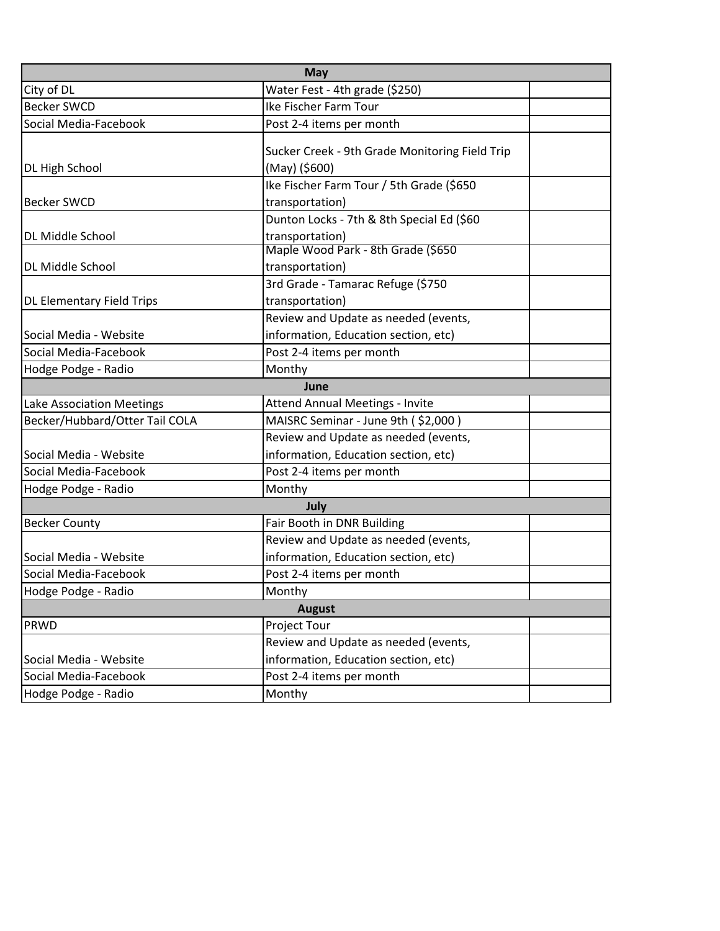| <b>May</b>                       |                                                |  |  |
|----------------------------------|------------------------------------------------|--|--|
| City of DL                       | Water Fest - 4th grade (\$250)                 |  |  |
| <b>Becker SWCD</b>               | Ike Fischer Farm Tour                          |  |  |
| Social Media-Facebook            | Post 2-4 items per month                       |  |  |
|                                  | Sucker Creek - 9th Grade Monitoring Field Trip |  |  |
| DL High School                   | (May) (\$600)                                  |  |  |
|                                  | Ike Fischer Farm Tour / 5th Grade (\$650       |  |  |
| <b>Becker SWCD</b>               | transportation)                                |  |  |
|                                  | Dunton Locks - 7th & 8th Special Ed (\$60      |  |  |
| DL Middle School                 | transportation)                                |  |  |
|                                  | Maple Wood Park - 8th Grade (\$650             |  |  |
| DL Middle School                 | transportation)                                |  |  |
|                                  | 3rd Grade - Tamarac Refuge (\$750              |  |  |
| <b>DL Elementary Field Trips</b> | transportation)                                |  |  |
|                                  | Review and Update as needed (events,           |  |  |
| Social Media - Website           | information, Education section, etc)           |  |  |
| Social Media-Facebook            | Post 2-4 items per month                       |  |  |
| Hodge Podge - Radio              | Monthy                                         |  |  |
| June                             |                                                |  |  |
| Lake Association Meetings        | <b>Attend Annual Meetings - Invite</b>         |  |  |
| Becker/Hubbard/Otter Tail COLA   | MAISRC Seminar - June 9th (\$2,000)            |  |  |
|                                  | Review and Update as needed (events,           |  |  |
| Social Media - Website           | information, Education section, etc)           |  |  |
| Social Media-Facebook            | Post 2-4 items per month                       |  |  |
| Hodge Podge - Radio              | Monthy                                         |  |  |
| July                             |                                                |  |  |
| <b>Becker County</b>             | Fair Booth in DNR Building                     |  |  |
|                                  | Review and Update as needed (events,           |  |  |
| Social Media - Website           | information, Education section, etc)           |  |  |
| Social Media-Facebook            | Post 2-4 items per month                       |  |  |
| Hodge Podge - Radio              | Monthy                                         |  |  |
| <b>August</b>                    |                                                |  |  |
| <b>PRWD</b>                      | Project Tour                                   |  |  |
|                                  | Review and Update as needed (events,           |  |  |
| Social Media - Website           | information, Education section, etc)           |  |  |
| Social Media-Facebook            | Post 2-4 items per month                       |  |  |
| Hodge Podge - Radio              | Monthy                                         |  |  |